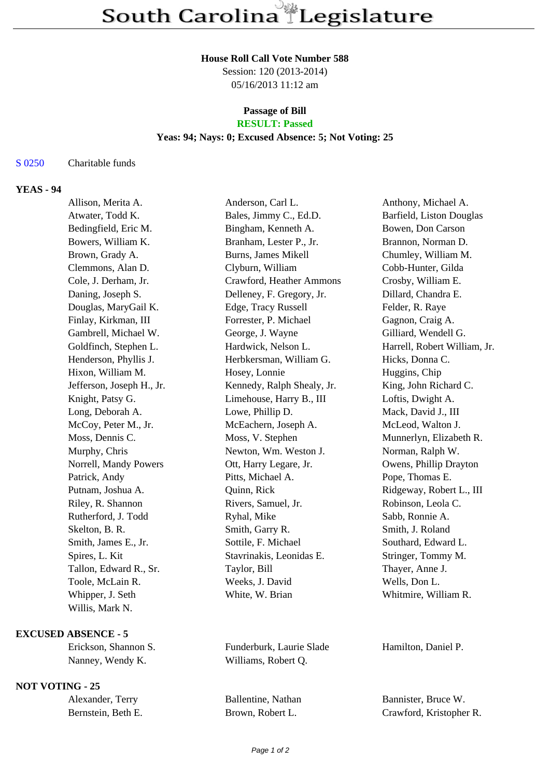#### **House Roll Call Vote Number 588**

Session: 120 (2013-2014) 05/16/2013 11:12 am

# **Passage of Bill**

# **RESULT: Passed**

## **Yeas: 94; Nays: 0; Excused Absence: 5; Not Voting: 25**

#### S 0250 Charitable funds

## **YEAS - 94**

| Allison, Merita A.        | Anderson, Carl L.          | Anthony, Michael A.          |
|---------------------------|----------------------------|------------------------------|
| Atwater, Todd K.          | Bales, Jimmy C., Ed.D.     | Barfield, Liston Douglas     |
| Bedingfield, Eric M.      | Bingham, Kenneth A.        | Bowen, Don Carson            |
| Bowers, William K.        | Branham, Lester P., Jr.    | Brannon, Norman D.           |
| Brown, Grady A.           | <b>Burns, James Mikell</b> | Chumley, William M.          |
| Clemmons, Alan D.         | Clyburn, William           | Cobb-Hunter, Gilda           |
| Cole, J. Derham, Jr.      | Crawford, Heather Ammons   | Crosby, William E.           |
| Daning, Joseph S.         | Delleney, F. Gregory, Jr.  | Dillard, Chandra E.          |
| Douglas, MaryGail K.      | Edge, Tracy Russell        | Felder, R. Raye              |
| Finlay, Kirkman, III      | Forrester, P. Michael      | Gagnon, Craig A.             |
| Gambrell, Michael W.      | George, J. Wayne           | Gilliard, Wendell G.         |
| Goldfinch, Stephen L.     | Hardwick, Nelson L.        | Harrell, Robert William, Jr. |
| Henderson, Phyllis J.     | Herbkersman, William G.    | Hicks, Donna C.              |
| Hixon, William M.         | Hosey, Lonnie              | Huggins, Chip                |
| Jefferson, Joseph H., Jr. | Kennedy, Ralph Shealy, Jr. | King, John Richard C.        |
| Knight, Patsy G.          | Limehouse, Harry B., III   | Loftis, Dwight A.            |
| Long, Deborah A.          | Lowe, Phillip D.           | Mack, David J., III          |
| McCoy, Peter M., Jr.      | McEachern, Joseph A.       | McLeod, Walton J.            |
| Moss, Dennis C.           | Moss, V. Stephen           | Munnerlyn, Elizabeth R.      |
| Murphy, Chris             | Newton, Wm. Weston J.      | Norman, Ralph W.             |
| Norrell, Mandy Powers     | Ott, Harry Legare, Jr.     | Owens, Phillip Drayton       |
| Patrick, Andy             | Pitts, Michael A.          | Pope, Thomas E.              |
| Putnam, Joshua A.         | Quinn, Rick                | Ridgeway, Robert L., III     |
| Riley, R. Shannon         | Rivers, Samuel, Jr.        | Robinson, Leola C.           |
| Rutherford, J. Todd       | Ryhal, Mike                | Sabb, Ronnie A.              |
| Skelton, B. R.            | Smith, Garry R.            | Smith, J. Roland             |
| Smith, James E., Jr.      | Sottile, F. Michael        | Southard, Edward L.          |
| Spires, L. Kit            | Stavrinakis, Leonidas E.   | Stringer, Tommy M.           |
| Tallon, Edward R., Sr.    | Taylor, Bill               | Thayer, Anne J.              |
| Toole, McLain R.          | Weeks, J. David            | Wells, Don L.                |
| Whipper, J. Seth          | White, W. Brian            | Whitmire, William R.         |
| Willis, Mark N.           |                            |                              |
|                           |                            |                              |

#### **EXCUSED ABSENCE - 5**

# **NOT VOTING - 25**

| Alexander, Terry   |  |  |
|--------------------|--|--|
| Bernstein, Beth E. |  |  |

Erickson, Shannon S. Funderburk, Laurie Slade Hamilton, Daniel P. Nanney, Wendy K. Williams, Robert Q.

Ballentine, Nathan Bannister, Bruce W. Brown, Robert L. Crawford, Kristopher R.